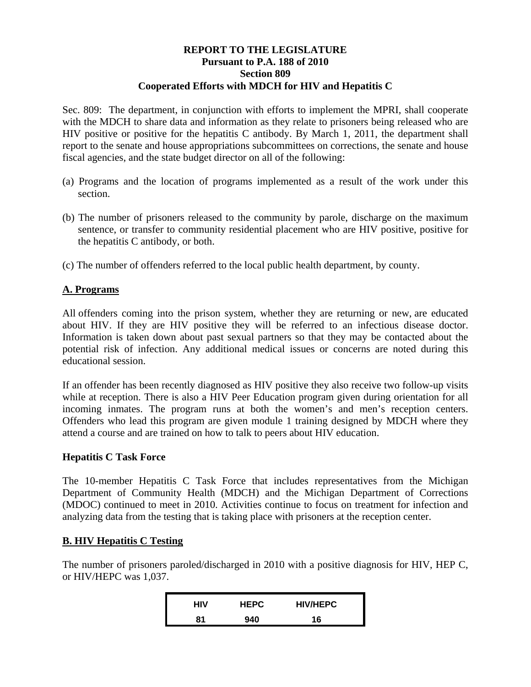## **REPORT TO THE LEGISLATURE Pursuant to P.A. 188 of 2010 Section 809 Cooperated Efforts with MDCH for HIV and Hepatitis C**

Sec. 809: The department, in conjunction with efforts to implement the MPRI, shall cooperate with the MDCH to share data and information as they relate to prisoners being released who are HIV positive or positive for the hepatitis C antibody. By March 1, 2011, the department shall report to the senate and house appropriations subcommittees on corrections, the senate and house fiscal agencies, and the state budget director on all of the following:

- (a) Programs and the location of programs implemented as a result of the work under this section.
- (b) The number of prisoners released to the community by parole, discharge on the maximum sentence, or transfer to community residential placement who are HIV positive, positive for the hepatitis C antibody, or both.
- (c) The number of offenders referred to the local public health department, by county.

## **A. Programs**

All offenders coming into the prison system, whether they are returning or new, are educated about HIV. If they are HIV positive they will be referred to an infectious disease doctor. Information is taken down about past sexual partners so that they may be contacted about the potential risk of infection. Any additional medical issues or concerns are noted during this educational session.

If an offender has been recently diagnosed as HIV positive they also receive two follow-up visits while at reception. There is also a HIV Peer Education program given during orientation for all incoming inmates. The program runs at both the women's and men's reception centers. Offenders who lead this program are given module 1 training designed by MDCH where they attend a course and are trained on how to talk to peers about HIV education.

## **Hepatitis C Task Force**

The 10-member Hepatitis C Task Force that includes representatives from the Michigan Department of Community Health (MDCH) and the Michigan Department of Corrections (MDOC) continued to meet in 2010. Activities continue to focus on treatment for infection and analyzing data from the testing that is taking place with prisoners at the reception center.

## **B. HIV Hepatitis C Testing**

The number of prisoners paroled/discharged in 2010 with a positive diagnosis for HIV, HEP C, or HIV/HEPC was 1,037.

| HIV | <b>HEPC</b> | <b>HIV/HEPC</b> |
|-----|-------------|-----------------|
| 81  | 940         | 16              |